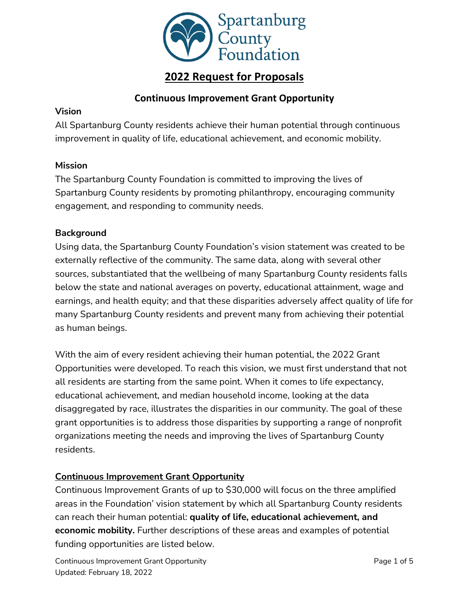

## **2022 Request for Proposals**

## **Continuous Improvement Grant Opportunity**

### **Vision**

All Spartanburg County residents achieve their human potential through continuous improvement in quality of life, educational achievement, and economic mobility.

## **Mission**

The Spartanburg County Foundation is committed to improving the lives of Spartanburg County residents by promoting philanthropy, encouraging community engagement, and responding to community needs.

## **Background**

Using data, the Spartanburg County Foundation's vision statement was created to be externally reflective of the community. The same data, along with several other sources, substantiated that the wellbeing of many Spartanburg County residents falls below the state and national averages on poverty, educational attainment, wage and earnings, and health equity; and that these disparities adversely affect quality of life for many Spartanburg County residents and prevent many from achieving their potential as human beings.

With the aim of every resident achieving their human potential, the 2022 Grant Opportunities were developed. To reach this vision, we must first understand that not all residents are starting from the same point. When it comes to life expectancy, educational achievement, and median household income, looking at the data disaggregated by race, illustrates the disparities in our community. The goal of these grant opportunities is to address those disparities by supporting a range of nonprofit organizations meeting the needs and improving the lives of Spartanburg County residents.

## **Continuous Improvement Grant Opportunity**

Continuous Improvement Grants of up to \$30,000 will focus on the three amplified areas in the Foundation' vision statement by which all Spartanburg County residents can reach their human potential: **quality of life, educational achievement, and economic mobility.** Further descriptions of these areas and examples of potential funding opportunities are listed below.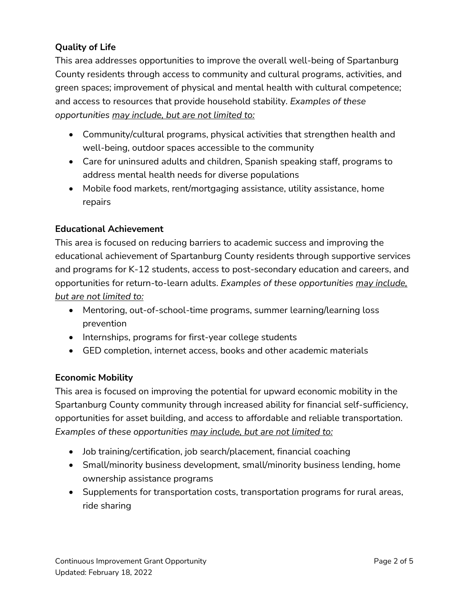## **Quality of Life**

This area addresses opportunities to improve the overall well-being of Spartanburg County residents through access to community and cultural programs, activities, and green spaces; improvement of physical and mental health with cultural competence; and access to resources that provide household stability. *Examples of these opportunities may include, but are not limited to:*

- Community/cultural programs, physical activities that strengthen health and well-being, outdoor spaces accessible to the community
- Care for uninsured adults and children, Spanish speaking staff, programs to address mental health needs for diverse populations
- Mobile food markets, rent/mortgaging assistance, utility assistance, home repairs

## **Educational Achievement**

This area is focused on reducing barriers to academic success and improving the educational achievement of Spartanburg County residents through supportive services and programs for K-12 students, access to post-secondary education and careers, and opportunities for return-to-learn adults. *Examples of these opportunities may include, but are not limited to:*

- Mentoring, out-of-school-time programs, summer learning/learning loss prevention
- Internships, programs for first-year college students
- GED completion, internet access, books and other academic materials

## **Economic Mobility**

This area is focused on improving the potential for upward economic mobility in the Spartanburg County community through increased ability for financial self-sufficiency, opportunities for asset building, and access to affordable and reliable transportation. *Examples of these opportunities may include, but are not limited to:*

- Job training/certification, job search/placement, financial coaching
- Small/minority business development, small/minority business lending, home ownership assistance programs
- Supplements for transportation costs, transportation programs for rural areas, ride sharing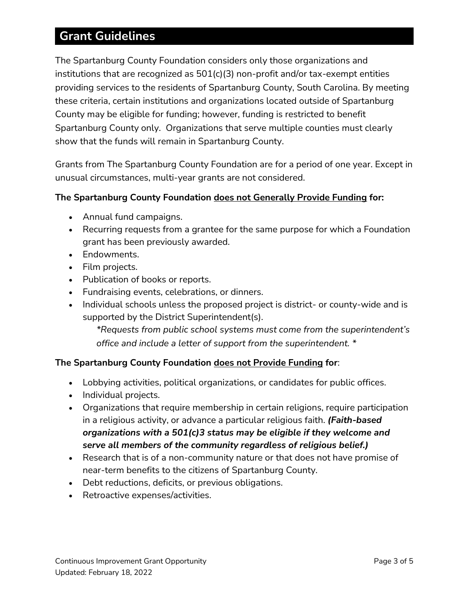# **Grant Guidelines**

The Spartanburg County Foundation considers only those organizations and institutions that are recognized as 501(c)(3) non-profit and/or tax-exempt entities providing services to the residents of Spartanburg County, South Carolina. By meeting these criteria, certain institutions and organizations located outside of Spartanburg County may be eligible for funding; however, funding is restricted to benefit Spartanburg County only. Organizations that serve multiple counties must clearly show that the funds will remain in Spartanburg County.

Grants from The Spartanburg County Foundation are for a period of one year. Except in unusual circumstances, multi-year grants are not considered.

## **The Spartanburg County Foundation does not Generally Provide Funding for:**

- Annual fund campaigns.
- Recurring requests from a grantee for the same purpose for which a Foundation grant has been previously awarded.
- Endowments.
- Film projects.
- Publication of books or reports.
- Fundraising events, celebrations, or dinners.
- Individual schools unless the proposed project is district- or county-wide and is supported by the District Superintendent(s).

*\*Requests from public school systems must come from the superintendent's office and include a letter of support from the superintendent. \**

#### **The Spartanburg County Foundation does not Provide Funding for**:

- Lobbying activities, political organizations, or candidates for public offices.
- Individual projects.
- Organizations that require membership in certain religions, require participation in a religious activity, or advance a particular religious faith. *(Faith-based organizations with a 501(c)3 status may be eligible if they welcome and serve all members of the community regardless of religious belief.)*
- Research that is of a non-community nature or that does not have promise of near-term benefits to the citizens of Spartanburg County.
- Debt reductions, deficits, or previous obligations.
- Retroactive expenses/activities.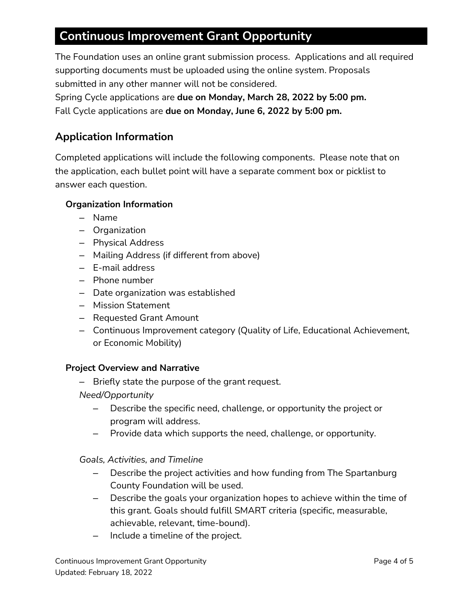# **Continuous Improvement Grant Opportunity**

The Foundation uses an online grant submission process. Applications and all required supporting documents must be uploaded using the online system. Proposals submitted in any other manner will not be considered.

Spring Cycle applications are **due on Monday, March 28, 2022 by 5:00 pm.** Fall Cycle applications are **due on Monday, June 6, 2022 by 5:00 pm.**

## **Application Information**

Completed applications will include the following components. Please note that on the application, each bullet point will have a separate comment box or picklist to answer each question.

## **Organization Information**

- Name
- Organization
- Physical Address
- Mailing Address (if different from above)
- E-mail address
- Phone number
- Date organization was established
- Mission Statement
- Requested Grant Amount
- Continuous Improvement category (Quality of Life, Educational Achievement, or Economic Mobility)

#### **Project Overview and Narrative**

– Briefly state the purpose of the grant request.

#### *Need/Opportunity*

- Describe the specific need, challenge, or opportunity the project or program will address.
- Provide data which supports the need, challenge, or opportunity.

*Goals, Activities, and Timeline* 

- Describe the project activities and how funding from The Spartanburg County Foundation will be used.
- Describe the goals your organization hopes to achieve within the time of this grant. Goals should fulfill SMART criteria (specific, measurable, achievable, relevant, time-bound).
- Include a timeline of the project.